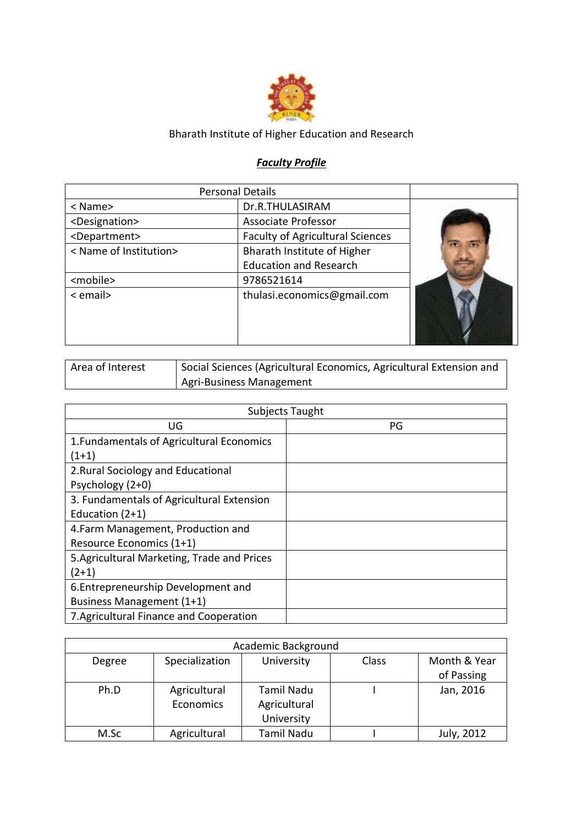

## Bharath Institute of Higher Education and Research

## *Faculty Profile*

|                             | <b>Personal Details</b>                 |  |
|-----------------------------|-----------------------------------------|--|
| $<$ Name $>$                | Dr.R.THULASIRAM                         |  |
| <designation></designation> | <b>Associate Professor</b>              |  |
| <department></department>   | <b>Faculty of Agricultural Sciences</b> |  |
| < Name of Institution>      | Bharath Institute of Higher             |  |
|                             | <b>Education and Research</b>           |  |
| <mobile></mobile>           | 9786521614                              |  |
| $\le$ email $>$             | thulasi.economics@gmail.com             |  |

| Area of Interest | Social Sciences (Agricultural Economics, Agricultural Extension and |
|------------------|---------------------------------------------------------------------|
|                  | Agri-Business Management                                            |

|                                             | Subjects Taught |
|---------------------------------------------|-----------------|
| UG                                          | PG              |
| 1. Fundamentals of Agricultural Economics   |                 |
| $(1+1)$                                     |                 |
| 2. Rural Sociology and Educational          |                 |
| Psychology (2+0)                            |                 |
| 3. Fundamentals of Agricultural Extension   |                 |
| Education $(2+1)$                           |                 |
| 4. Farm Management, Production and          |                 |
| Resource Economics (1+1)                    |                 |
| 5. Agricultural Marketing, Trade and Prices |                 |
| $(2+1)$                                     |                 |
| 6. Entrepreneurship Development and         |                 |
| Business Management (1+1)                   |                 |
| 7. Agricultural Finance and Cooperation     |                 |

|        |                           | Academic Background                      |       |                            |
|--------|---------------------------|------------------------------------------|-------|----------------------------|
| Degree | Specialization            | University                               | Class | Month & Year<br>of Passing |
| Ph.D   | Agricultural<br>Economics | Tamil Nadu<br>Agricultural<br>University |       | Jan, 2016                  |
| M.Sc   | Agricultural              | <b>Tamil Nadu</b>                        |       | July, 2012                 |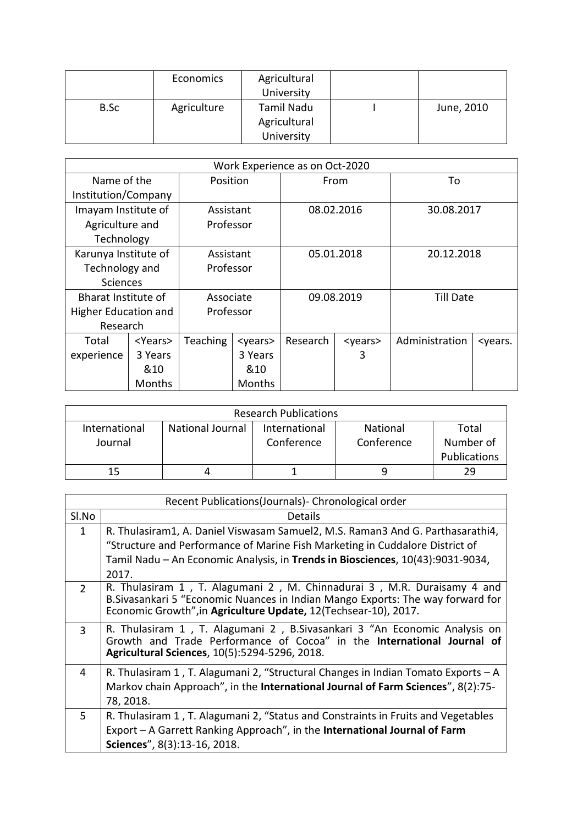|      | Economics   | Agricultural<br>University |            |
|------|-------------|----------------------------|------------|
| B.Sc | Agriculture | Tamil Nadu                 | June, 2010 |
|      |             | Agricultural               |            |
|      |             | University                 |            |

| Work Experience as on Oct-2020 |                 |                 |                 |          |                 |                |                           |
|--------------------------------|-----------------|-----------------|-----------------|----------|-----------------|----------------|---------------------------|
| Name of the                    |                 | Position        |                 | From     |                 | To             |                           |
| Institution/Company            |                 |                 |                 |          |                 |                |                           |
| Imayam Institute of            |                 | Assistant       |                 |          | 08.02.2016      | 30.08.2017     |                           |
| Agriculture and                |                 | Professor       |                 |          |                 |                |                           |
| Technology                     |                 |                 |                 |          |                 |                |                           |
| Karunya Institute of           |                 | Assistant       |                 |          | 05.01.2018      | 20.12.2018     |                           |
| Technology and                 |                 | Professor       |                 |          |                 |                |                           |
| <b>Sciences</b>                |                 |                 |                 |          |                 |                |                           |
| Bharat Institute of            |                 |                 | Associate       |          | 09.08.2019      | Till Date      |                           |
| Higher Education and           |                 | Professor       |                 |          |                 |                |                           |
| Research                       |                 |                 |                 |          |                 |                |                           |
| Total                          | <years></years> | <b>Teaching</b> | <years></years> | Research | <years></years> | Administration | <years.< td=""></years.<> |
| experience                     | 3 Years         |                 | 3 Years         |          | 3               |                |                           |
|                                | &10             |                 | &10             |          |                 |                |                           |
|                                | Months          |                 | <b>Months</b>   |          |                 |                |                           |

| <b>Research Publications</b> |                         |               |            |                     |
|------------------------------|-------------------------|---------------|------------|---------------------|
| International                | <b>National Journal</b> | International | National   | Total               |
| Journal                      |                         | Conference    | Conference | Number of           |
|                              |                         |               |            | <b>Publications</b> |
| 15                           |                         |               |            | 29                  |

|               | Recent Publications(Journals) - Chronological order                                                                                                                                                                           |
|---------------|-------------------------------------------------------------------------------------------------------------------------------------------------------------------------------------------------------------------------------|
| Sl.No         | <b>Details</b>                                                                                                                                                                                                                |
| $\mathbf{1}$  | R. Thulasiram1, A. Daniel Viswasam Samuel2, M.S. Raman3 And G. Parthasarathi4,                                                                                                                                                |
|               | "Structure and Performance of Marine Fish Marketing in Cuddalore District of                                                                                                                                                  |
|               | Tamil Nadu - An Economic Analysis, in Trends in Biosciences, 10(43):9031-9034,                                                                                                                                                |
|               | 2017.                                                                                                                                                                                                                         |
| $\mathcal{L}$ | R. Thulasiram 1, T. Alagumani 2, M. Chinnadurai 3, M.R. Duraisamy 4 and<br>B. Sivasankari 5 "Economic Nuances in Indian Mango Exports: The way forward for<br>Economic Growth", in Agriculture Update, 12(Techsear-10), 2017. |
| 3             | R. Thulasiram 1, T. Alagumani 2, B. Sivasankari 3 "An Economic Analysis on<br>Growth and Trade Performance of Cocoa" in the International Journal of<br>Agricultural Sciences, 10(5):5294-5296, 2018.                         |
| 4             | R. Thulasiram 1, T. Alagumani 2, "Structural Changes in Indian Tomato Exports - A                                                                                                                                             |
|               | Markov chain Approach", in the International Journal of Farm Sciences", 8(2):75-                                                                                                                                              |
|               | 78, 2018.                                                                                                                                                                                                                     |
| 5             | R. Thulasiram 1, T. Alagumani 2, "Status and Constraints in Fruits and Vegetables                                                                                                                                             |
|               | Export – A Garrett Ranking Approach", in the International Journal of Farm                                                                                                                                                    |
|               | Sciences", 8(3):13-16, 2018.                                                                                                                                                                                                  |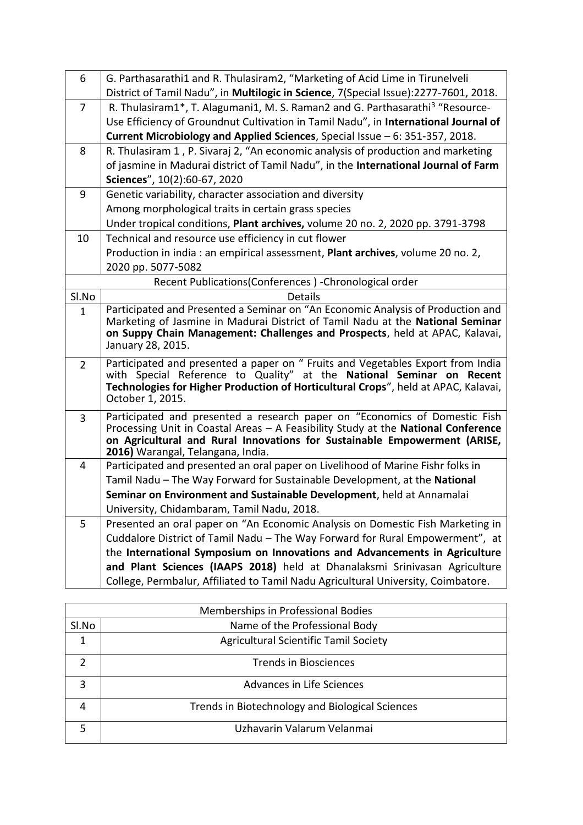| 6              | G. Parthasarathi1 and R. Thulasiram2, "Marketing of Acid Lime in Tirunelveli                                                                                      |
|----------------|-------------------------------------------------------------------------------------------------------------------------------------------------------------------|
|                | District of Tamil Nadu", in Multilogic in Science, 7(Special Issue):2277-7601, 2018.                                                                              |
| 7              | R. Thulasiram1*, T. Alagumani1, M. S. Raman2 and G. Parthasarathi <sup>3</sup> "Resource-                                                                         |
|                | Use Efficiency of Groundnut Cultivation in Tamil Nadu", in International Journal of                                                                               |
|                | Current Microbiology and Applied Sciences, Special Issue - 6: 351-357, 2018.                                                                                      |
| 8              | R. Thulasiram 1, P. Sivaraj 2, "An economic analysis of production and marketing                                                                                  |
|                | of jasmine in Madurai district of Tamil Nadu", in the International Journal of Farm                                                                               |
|                | Sciences", 10(2):60-67, 2020                                                                                                                                      |
| 9              | Genetic variability, character association and diversity                                                                                                          |
|                | Among morphological traits in certain grass species                                                                                                               |
|                | Under tropical conditions, Plant archives, volume 20 no. 2, 2020 pp. 3791-3798                                                                                    |
| 10             | Technical and resource use efficiency in cut flower                                                                                                               |
|                | Production in india : an empirical assessment, Plant archives, volume 20 no. 2,                                                                                   |
|                | 2020 pp. 5077-5082                                                                                                                                                |
|                | Recent Publications(Conferences) - Chronological order                                                                                                            |
| Sl.No          | <b>Details</b>                                                                                                                                                    |
| $\mathbf{1}$   | Participated and Presented a Seminar on "An Economic Analysis of Production and<br>Marketing of Jasmine in Madurai District of Tamil Nadu at the National Seminar |
|                | on Suppy Chain Management: Challenges and Prospects, held at APAC, Kalavai,                                                                                       |
|                | January 28, 2015.                                                                                                                                                 |
| $\overline{2}$ | Participated and presented a paper on " Fruits and Vegetables Export from India                                                                                   |
|                | with Special Reference to Quality" at the National Seminar on Recent                                                                                              |
|                | Technologies for Higher Production of Horticultural Crops", held at APAC, Kalavai,                                                                                |
|                | October 1, 2015.                                                                                                                                                  |
| 3              | Participated and presented a research paper on "Economics of Domestic Fish                                                                                        |
|                | Processing Unit in Coastal Areas - A Feasibility Study at the National Conference<br>on Agricultural and Rural Innovations for Sustainable Empowerment (ARISE,    |
|                | 2016) Warangal, Telangana, India.                                                                                                                                 |
| 4              | Participated and presented an oral paper on Livelihood of Marine Fishr folks in                                                                                   |
|                | Tamil Nadu - The Way Forward for Sustainable Development, at the National                                                                                         |
|                | Seminar on Environment and Sustainable Development, held at Annamalai                                                                                             |
|                | University, Chidambaram, Tamil Nadu, 2018.                                                                                                                        |
| 5              | Presented an oral paper on "An Economic Analysis on Domestic Fish Marketing in                                                                                    |
|                | Cuddalore District of Tamil Nadu - The Way Forward for Rural Empowerment", at                                                                                     |
|                | the International Symposium on Innovations and Advancements in Agriculture                                                                                        |
|                | and Plant Sciences (IAAPS 2018) held at Dhanalaksmi Srinivasan Agriculture                                                                                        |
|                | College, Permbalur, Affiliated to Tamil Nadu Agricultural University, Coimbatore.                                                                                 |

|       | Memberships in Professional Bodies              |
|-------|-------------------------------------------------|
| SI.No | Name of the Professional Body                   |
|       | <b>Agricultural Scientific Tamil Society</b>    |
|       | <b>Trends in Biosciences</b>                    |
| 3     | Advances in Life Sciences                       |
|       | Trends in Biotechnology and Biological Sciences |
|       | Uzhavarin Valarum Velanmai                      |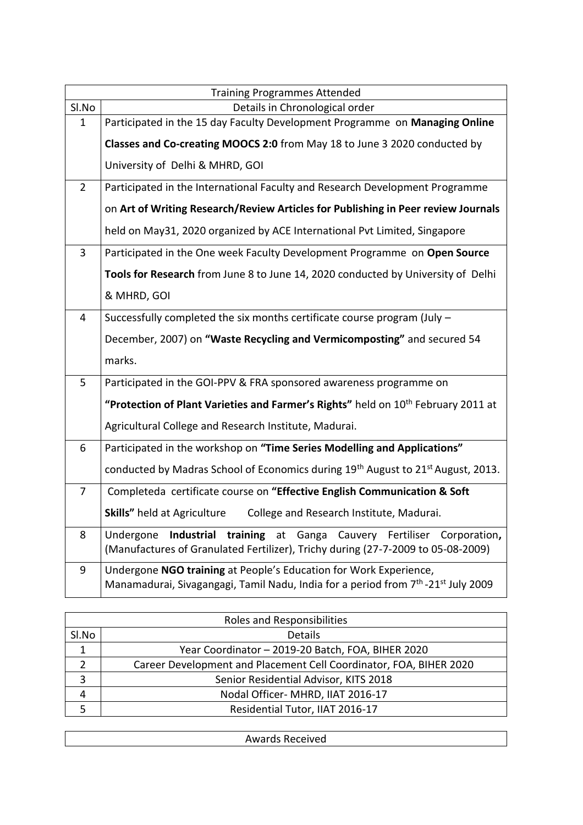|                | <b>Training Programmes Attended</b>                                                                                                                              |
|----------------|------------------------------------------------------------------------------------------------------------------------------------------------------------------|
| SI.No          | Details in Chronological order                                                                                                                                   |
| $\mathbf{1}$   | Participated in the 15 day Faculty Development Programme on Managing Online                                                                                      |
|                | Classes and Co-creating MOOCS 2:0 from May 18 to June 3 2020 conducted by                                                                                        |
|                | University of Delhi & MHRD, GOI                                                                                                                                  |
| $\overline{2}$ | Participated in the International Faculty and Research Development Programme                                                                                     |
|                | on Art of Writing Research/Review Articles for Publishing in Peer review Journals                                                                                |
|                | held on May31, 2020 organized by ACE International Pvt Limited, Singapore                                                                                        |
| 3              | Participated in the One week Faculty Development Programme on Open Source                                                                                        |
|                | Tools for Research from June 8 to June 14, 2020 conducted by University of Delhi                                                                                 |
|                | & MHRD, GOI                                                                                                                                                      |
| $\overline{4}$ | Successfully completed the six months certificate course program (July -                                                                                         |
|                | December, 2007) on "Waste Recycling and Vermicomposting" and secured 54                                                                                          |
|                | marks.                                                                                                                                                           |
| 5              | Participated in the GOI-PPV & FRA sponsored awareness programme on                                                                                               |
|                | "Protection of Plant Varieties and Farmer's Rights" held on 10 <sup>th</sup> February 2011 at                                                                    |
|                | Agricultural College and Research Institute, Madurai.                                                                                                            |
| 6              | Participated in the workshop on "Time Series Modelling and Applications"                                                                                         |
|                | conducted by Madras School of Economics during 19 <sup>th</sup> August to 21 <sup>st</sup> August, 2013.                                                         |
| $\overline{7}$ | Completeda certificate course on "Effective English Communication & Soft                                                                                         |
|                | <b>Skills"</b> held at Agriculture<br>College and Research Institute, Madurai.                                                                                   |
| 8              | Industrial<br>training at Ganga Cauvery Fertiliser Corporation,<br>Undergone<br>(Manufactures of Granulated Fertilizer), Trichy during (27-7-2009 to 05-08-2009) |
| 9              | Undergone NGO training at People's Education for Work Experience,                                                                                                |
|                | Manamadurai, Sivagangagi, Tamil Nadu, India for a period from 7 <sup>th</sup> -21 <sup>st</sup> July 2009                                                        |

| Roles and Responsibilities |                                                                    |  |  |
|----------------------------|--------------------------------------------------------------------|--|--|
| Sl.No                      | <b>Details</b>                                                     |  |  |
|                            | Year Coordinator - 2019-20 Batch, FOA, BIHER 2020                  |  |  |
|                            | Career Development and Placement Cell Coordinator, FOA, BIHER 2020 |  |  |
| 3                          | Senior Residential Advisor, KITS 2018                              |  |  |
|                            | Nodal Officer- MHRD, IIAT 2016-17                                  |  |  |
|                            | Residential Tutor, IIAT 2016-17                                    |  |  |

| Awards<br>×eceiveα |
|--------------------|
|                    |